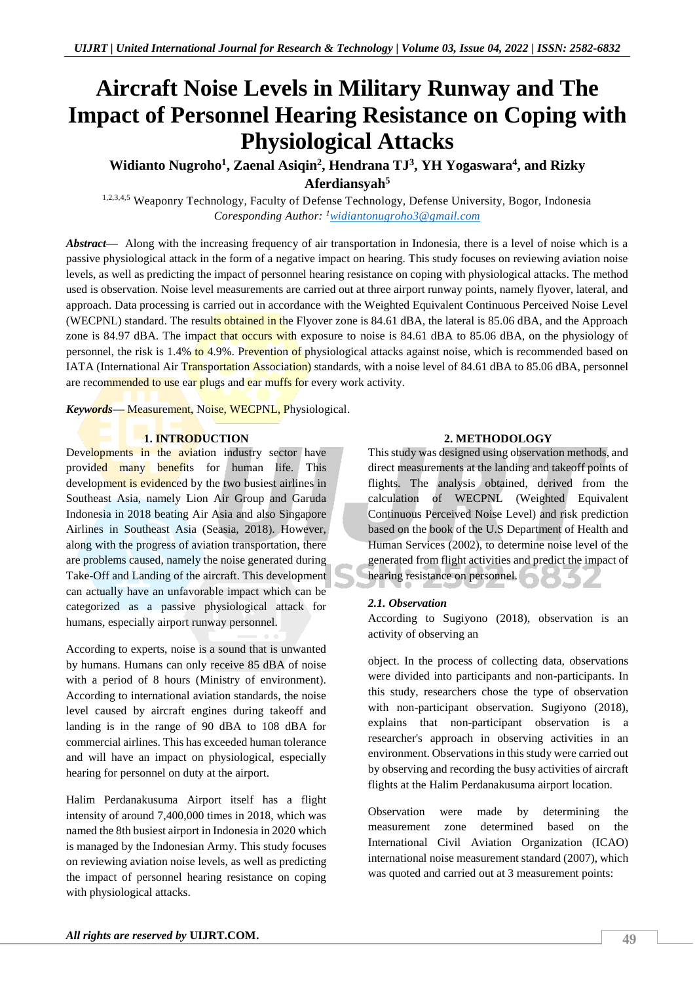# **Aircraft Noise Levels in Military Runway and The Impact of Personnel Hearing Resistance on Coping with Physiological Attacks**

## Widianto Nugroho<sup>1</sup>, Zaenal Asiqin<sup>2</sup>, Hendrana TJ<sup>3</sup>, YH Yogaswara<sup>4</sup>, and Rizky **Aferdiansyah<sup>5</sup>**

1,2,3,4,5 Weaponry Technology, Faculty of Defense Technology, Defense University, Bogor, Indonesia *Coresponding Author: <sup>1</sup>[widiantonugroho3@gmail.com](mailto:widiantonugroho3@gmail.com)*

*Abstract—* Along with the increasing frequency of air transportation in Indonesia, there is a level of noise which is a passive physiological attack in the form of a negative impact on hearing. This study focuses on reviewing aviation noise levels, as well as predicting the impact of personnel hearing resistance on coping with physiological attacks. The method used is observation. Noise level measurements are carried out at three airport runway points, namely flyover, lateral, and approach. Data processing is carried out in accordance with the Weighted Equivalent Continuous Perceived Noise Level (WECPNL) standard. The results obtained in the Flyover zone is 84.61 dBA, the lateral is 85.06 dBA, and the Approach zone is 84.97 dBA. The impact that occurs with exposure to noise is 84.61 dBA to 85.06 dBA, on the physiology of personnel, the risk is 1.4% to 4.9%. Prevention of physiological attacks against noise, which is recommended based on IATA (International Air Transportation Association) standards, with a noise level of 84.61 dBA to 85.06 dBA, personnel are recommended to use ear plugs and ear muffs for every work activity.

*Keywords—* Measurement, Noise, WECPNL, Physiological.

### **1. INTRODUCTION**

Developments in the aviation industry sector have provided many benefits for human life. This development is evidenced by the two busiest airlines in Southeast Asia, namely Lion Air Group and Garuda Indonesia in 2018 beating Air Asia and also Singapore Airlines in Southeast Asia (Seasia, 2018). However, along with the progress of aviation transportation, there are problems caused, namely the noise generated during Take-Off and Landing of the aircraft. This development can actually have an unfavorable impact which can be categorized as a passive physiological attack for humans, especially airport runway personnel.

According to experts, noise is a sound that is unwanted by humans. Humans can only receive 85 dBA of noise with a period of 8 hours (Ministry of environment). According to international aviation standards, the noise level caused by aircraft engines during takeoff and landing is in the range of 90 dBA to 108 dBA for commercial airlines. This has exceeded human tolerance and will have an impact on physiological, especially hearing for personnel on duty at the airport.

Halim Perdanakusuma Airport itself has a flight intensity of around 7,400,000 times in 2018, which was named the 8th busiest airport in Indonesia in 2020 which is managed by the Indonesian Army. This study focuses on reviewing aviation noise levels, as well as predicting the impact of personnel hearing resistance on coping with physiological attacks.

### **2. METHODOLOGY**

This study was designed using observation methods, and direct measurements at the landing and takeoff points of flights. The analysis obtained, derived from the calculation of WECPNL (Weighted Equivalent Continuous Perceived Noise Level) and risk prediction based on the book of the U.S Department of Health and Human Services (2002), to determine noise level of the generated from flight activities and predict the impact of hearing resistance on personnel.

### *2.1. Observation*

According to Sugiyono (2018), observation is an activity of observing an

object. In the process of collecting data, observations were divided into participants and non-participants. In this study, researchers chose the type of observation with non-participant observation. Sugiyono (2018), explains that non-participant observation is a researcher's approach in observing activities in an environment. Observations in this study were carried out by observing and recording the busy activities of aircraft flights at the Halim Perdanakusuma airport location.

Observation were made by determining the measurement zone determined based on the International Civil Aviation Organization (ICAO) international noise measurement standard (2007), which was quoted and carried out at 3 measurement points: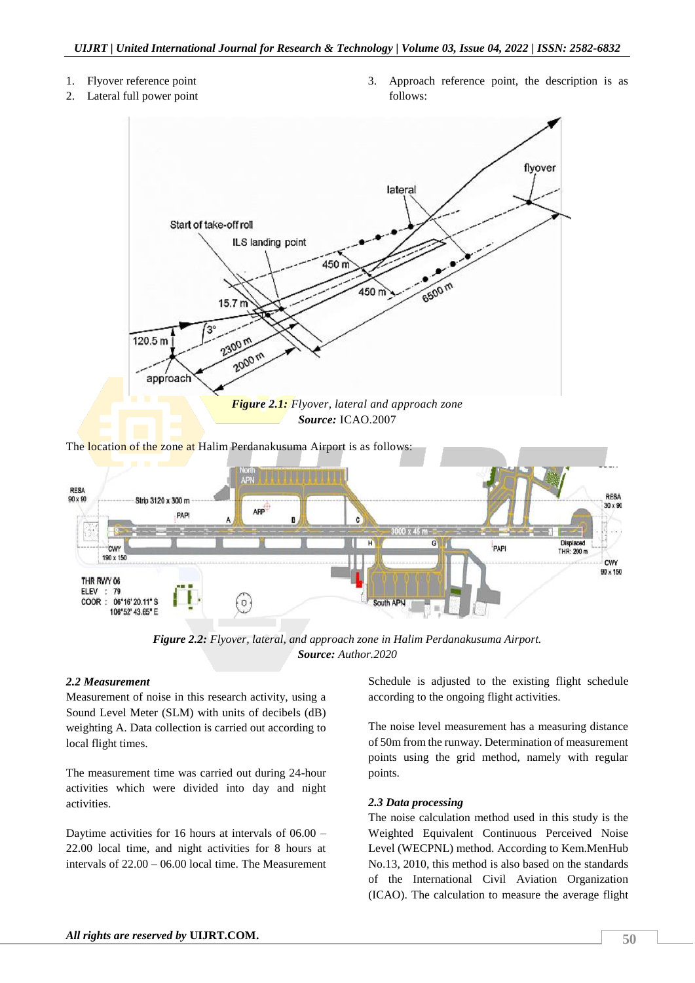- 1. Flyover reference point
- 2. Lateral full power point

3. Approach reference point, the description is as follows:



The location of the zone at Halim Perdanakusuma Airport is as follows:



*Figure 2.2: Flyover, lateral, and approach zone in Halim Perdanakusuma Airport. Source: Author.2020*

### *2.2 Measurement*

Measurement of noise in this research activity, using a Sound Level Meter (SLM) with units of decibels (dB) weighting A. Data collection is carried out according to local flight times.

The measurement time was carried out during 24-hour activities which were divided into day and night activities.

Daytime activities for 16 hours at intervals of 06.00 – 22.00 local time, and night activities for 8 hours at intervals of 22.00 – 06.00 local time. The Measurement Schedule is adjusted to the existing flight schedule according to the ongoing flight activities.

The noise level measurement has a measuring distance of 50m from the runway. Determination of measurement points using the grid method, namely with regular points.

### *2.3 Data processing*

The noise calculation method used in this study is the Weighted Equivalent Continuous Perceived Noise Level (WECPNL) method. According to Kem.MenHub No.13, 2010, this method is also based on the standards of the International Civil Aviation Organization (ICAO). The calculation to measure the average flight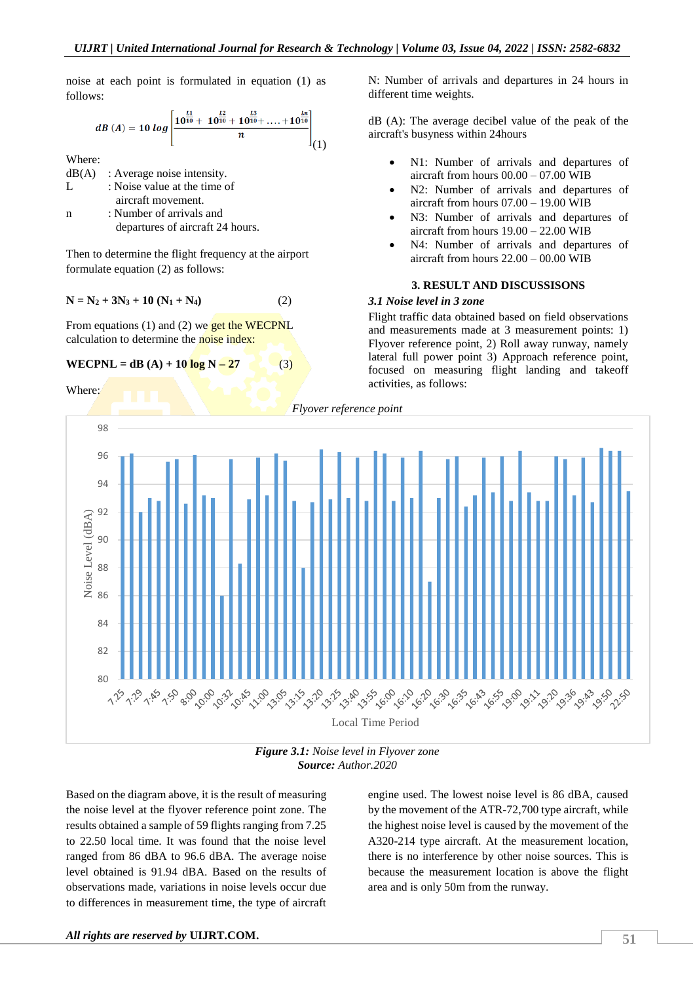noise at each point is formulated in equation (1) as follows:

$$
dB\left(A\right)=10\;log\left[\frac{10^{\frac{L1}{10}}+10^{\frac{L2}{10}}+10^{\frac{L3}{10}}+\ldots+10^{\frac{Ln}{10}}}{n}\right] \tag{1}
$$

Where:

 $dB(A)$ : Average noise intensity. L : Noise value at the time of aircraft movement. n : Number of arrivals and

departures of aircraft 24 hours.

Then to determine the flight frequency at the airport formulate equation (2) as follows:

$$
N = N_2 + 3N_3 + 10 (N_1 + N_4)
$$
 (2)

From equations (1) and (2) we get the WECPNL calculation to determine the noise index:

### **WECPNL** = dB (A) + 10  $\log N - 27$  (3)

Where:

N: Number of arrivals and departures in 24 hours in different time weights.

dB (A): The average decibel value of the peak of the aircraft's busyness within 24hours

- N1: Number of arrivals and departures of aircraft from hours 00.00 – 07.00 WIB
- N2: Number of arrivals and departures of aircraft from hours 07.00 – 19.00 WIB
- N3: Number of arrivals and departures of aircraft from hours 19.00 – 22.00 WIB
- N4: Number of arrivals and departures of aircraft from hours 22.00 – 00.00 WIB

### **3. RESULT AND DISCUSSISONS**

### *3.1 Noise level in 3 zone*

Flight traffic data obtained based on field observations and measurements made at 3 measurement points: 1) Flyover reference point, 2) Roll away runway, namely lateral full power point 3) Approach reference point, focused on measuring flight landing and takeoff activities, as follows:



*Figure 3.1: Noise level in Flyover zone Source: Author.2020*

Based on the diagram above, it is the result of measuring the noise level at the flyover reference point zone. The results obtained a sample of 59 flights ranging from 7.25 to 22.50 local time. It was found that the noise level ranged from 86 dBA to 96.6 dBA. The average noise level obtained is 91.94 dBA. Based on the results of observations made, variations in noise levels occur due to differences in measurement time, the type of aircraft engine used. The lowest noise level is 86 dBA, caused by the movement of the ATR-72,700 type aircraft, while the highest noise level is caused by the movement of the A320-214 type aircraft. At the measurement location, there is no interference by other noise sources. This is because the measurement location is above the flight area and is only 50m from the runway.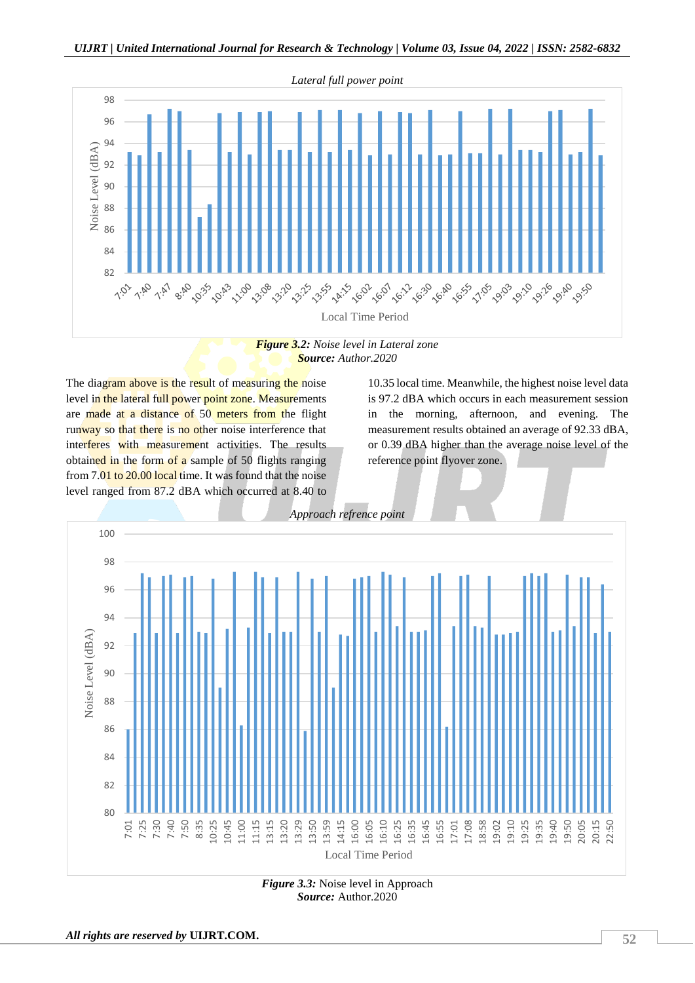

*Source: Author.2020*

The diagram above is the result of measuring the noise level in the lateral full power point zone. Measurements are made at a distance of 50 meters from the flight runway so that there is no other noise interference that interferes with measurement activities. The results obtained in the form of a sample of 50 flights ranging from 7.01 to 20.00 local time. It was found that the noise level ranged from 87.2 dBA which occurred at 8.40 to

10.35 local time. Meanwhile, the highest noise level data is 97.2 dBA which occurs in each measurement session in the morning, afternoon, and evening. The measurement results obtained an average of 92.33 dBA, or 0.39 dBA higher than the average noise level of the reference point flyover zone.



*Figure 3.3:* Noise level in Approach *Source:* Author.2020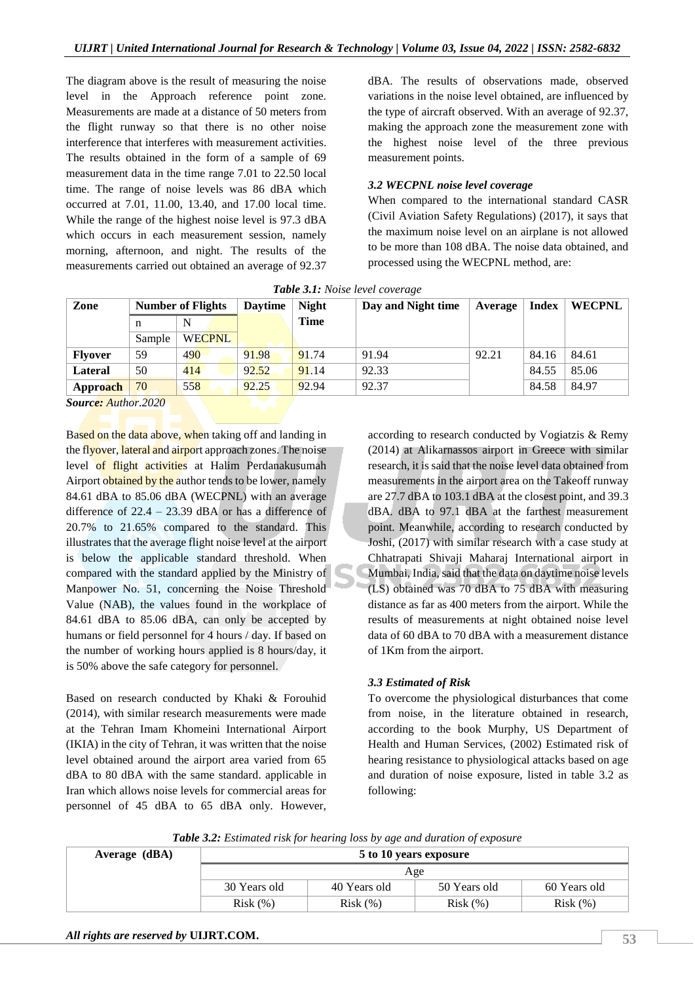The diagram above is the result of measuring the noise level in the Approach reference point zone. Measurements are made at a distance of 50 meters from the flight runway so that there is no other noise interference that interferes with measurement activities. The results obtained in the form of a sample of 69 measurement data in the time range 7.01 to 22.50 local time. The range of noise levels was 86 dBA which occurred at 7.01, 11.00, 13.40, and 17.00 local time. While the range of the highest noise level is 97.3 dBA which occurs in each measurement session, namely morning, afternoon, and night. The results of the measurements carried out obtained an average of 92.37

dBA. The results of observations made, observed variations in the noise level obtained, are influenced by the type of aircraft observed. With an average of 92.37, making the approach zone the measurement zone with the highest noise level of the three previous measurement points.

### *3.2 WECPNL noise level coverage*

When compared to the international standard CASR (Civil Aviation Safety Regulations) (2017), it says that the maximum noise level on an airplane is not allowed to be more than 108 dBA. The noise data obtained, and processed using the WECPNL method, are:

| Zone           | <b>Number of Flights</b> |               | <b>Daytime</b> | <b>Night</b> | Day and Night time | Average | Index | <b>WECPNL</b> |
|----------------|--------------------------|---------------|----------------|--------------|--------------------|---------|-------|---------------|
|                | n                        | N             |                | <b>Time</b>  |                    |         |       |               |
|                | Sample                   | <b>WECPNL</b> |                |              |                    |         |       |               |
| <b>Flyover</b> | 59                       | 490           | 91.98          | 91.74        | 91.94              | 92.21   | 84.16 | 84.61         |
| Lateral        | 50                       | 414           | 92.52          | 91.14        | 92.33              |         | 84.55 | 85.06         |
| Approach       | 70                       | 558           | 92.25          | 92.94        | 92.37              |         | 84.58 | 84.97         |

*Table 3.1: Noise level coverage*

*Source: Author.2020*

Based on the data above, when taking off and landing in the flyover, lateral and airport approach zones. The noise level of flight activities at Halim Perdanakusumah Airport obtained by the author tends to be lower, namely 84.61 dBA to 85.06 dBA (WECPNL) with an average difference of  $22.4 - 23.39$  dBA or has a difference of 20.7% to 21.65% compared to the standard. This illustrates that the average flight noise level at the airport is below the applicable standard threshold. When compared with the standard applied by the Ministry of Manpower No. 51, concerning the Noise Threshold Value (NAB), the values found in the workplace of 84.61 dBA to 85.06 dBA, can only be accepted by humans or field personnel for 4 hours / day. If based on the number of working hours applied is 8 hours/day, it is 50% above the safe category for personnel.

Based on research conducted by Khaki & Forouhid (2014), with similar research measurements were made at the Tehran Imam Khomeini International Airport (IKIA) in the city of Tehran, it was written that the noise level obtained around the airport area varied from 65 dBA to 80 dBA with the same standard. applicable in Iran which allows noise levels for commercial areas for personnel of 45 dBA to 65 dBA only. However,

according to research conducted by Vogiatzis & Remy (2014) at Alikarnassos airport in Greece with similar research, it is said that the noise level data obtained from measurements in the airport area on the Takeoff runway are 27.7 dBA to 103.1 dBA at the closest point, and 39.3 dBA. dBA to 97.1 dBA at the farthest measurement point. Meanwhile, according to research conducted by Joshi, (2017) with similar research with a case study at Chhatrapati Shivaji Maharaj International airport in Mumbai, India, said that the data on daytime noise levels (LS) obtained was 70 dBA to 75 dBA with measuring distance as far as 400 meters from the airport. While the results of measurements at night obtained noise level data of 60 dBA to 70 dBA with a measurement distance of 1Km from the airport.

### *3.3 Estimated of Risk*

To overcome the physiological disturbances that come from noise, in the literature obtained in research, according to the book Murphy, US Department of Health and Human Services, (2002) Estimated risk of hearing resistance to physiological attacks based on age and duration of noise exposure, listed in table 3.2 as following:

*Table 3.2: Estimated risk for hearing loss by age and duration of exposure*

| Average (dBA) | 5 to 10 years exposure |              |              |              |  |  |
|---------------|------------------------|--------------|--------------|--------------|--|--|
|               | Age                    |              |              |              |  |  |
|               | 30 Years old           | 40 Years old | 50 Years old | 60 Years old |  |  |
|               | Risk(%)                | Risk(%)      | Risk(%)      | Risk(%)      |  |  |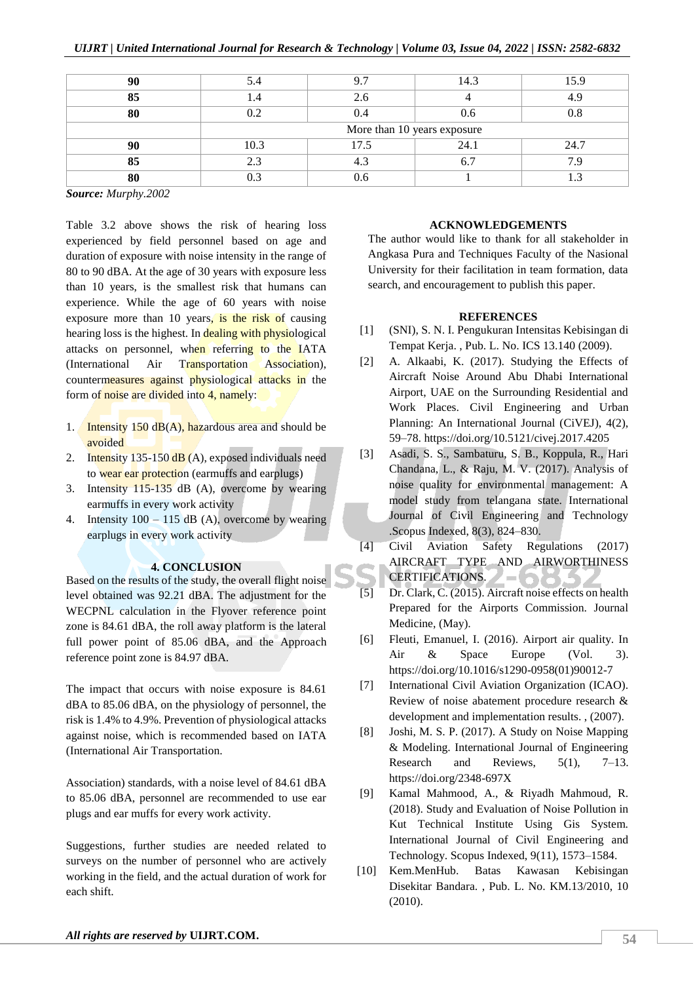| 90 |                             | 07   | 14.3 | 15.9 |  |  |
|----|-----------------------------|------|------|------|--|--|
| 85 |                             | 2.6  |      | 1 C  |  |  |
| 80 | ∩າ                          | 0.4  | 0.6  |      |  |  |
|    | More than 10 years exposure |      |      |      |  |  |
| 90 | 10.3                        | 17.5 | 24.1 | 24.7 |  |  |
| 85 | 2.3                         |      |      |      |  |  |
| 80 |                             |      |      |      |  |  |

*Source: Murphy.2002*

Table 3.2 above shows the risk of hearing loss experienced by field personnel based on age and duration of exposure with noise intensity in the range of 80 to 90 dBA. At the age of 30 years with exposure less than 10 years, is the smallest risk that humans can experience. While the age of 60 years with noise exposure more than 10 years, is the risk of causing hearing loss is the highest. In dealing with physiological attacks on personnel, when referring to the IATA (International Air Transportation Association), countermeasures against physiological attacks in the form of noise are divided into 4, namely:

- 1. Intensity 150  $dB(A)$ , hazardous area and should be avoided
- 2. Intensity  $135-150$  dB (A), exposed individuals need to wear ear protection (earmuffs and earplugs)
- 3. Intensity 115-135 dB (A), overcome by wearing earmuffs in every work activity
- 4. Intensity  $100 115$  dB (A), overcome by wearing earplugs in every work activity

### **4. CONCLUSION**

Based on the results of the study, the overall flight noise level obtained was 92.21 dBA. The adjustment for the WECPNL calculation in the Flyover reference point zone is 84.61 dBA, the roll away platform is the lateral full power point of 85.06 dBA, and the Approach reference point zone is 84.97 dBA.

The impact that occurs with noise exposure is 84.61 dBA to 85.06 dBA, on the physiology of personnel, the risk is 1.4% to 4.9%. Prevention of physiological attacks against noise, which is recommended based on IATA (International Air Transportation.

Association) standards, with a noise level of 84.61 dBA to 85.06 dBA, personnel are recommended to use ear plugs and ear muffs for every work activity.

Suggestions, further studies are needed related to surveys on the number of personnel who are actively working in the field, and the actual duration of work for each shift.

### **ACKNOWLEDGEMENTS**

The author would like to thank for all stakeholder in Angkasa Pura and Techniques Faculty of the Nasional University for their facilitation in team formation, data search, and encouragement to publish this paper.

### **REFERENCES**

- [1] (SNI), S. N. I. Pengukuran Intensitas Kebisingan di Tempat Kerja. , Pub. L. No. ICS 13.140 (2009).
- [2] A. Alkaabi, K. (2017). Studying the Effects of Aircraft Noise Around Abu Dhabi International Airport, UAE on the Surrounding Residential and Work Places. Civil Engineering and Urban Planning: An International Journal (CiVEJ), 4(2), 59–78. https://doi.org/10.5121/civej.2017.4205
- [3] Asadi, S. S., Sambaturu, S. B., Koppula, R., Hari Chandana, L., & Raju, M. V. (2017). Analysis of noise quality for environmental management: A model study from telangana state. International Journal of Civil Engineering and Technology .Scopus Indexed, 8(3), 824–830.
- [4] Civil Aviation Safety Regulations (2017) AIRCRAFT TYPE AND AIRWORTHINESS  $\mathcal{L} = \mathcal{C}$ CERTIFICATIONS.
- [5] Dr. Clark, C. (2015). Aircraft noise effects on health Prepared for the Airports Commission. Journal Medicine, (May).
- [6] Fleuti, Emanuel, I. (2016). Airport air quality. In Air & Space Europe (Vol. 3). https://doi.org/10.1016/s1290-0958(01)90012-7
- [7] International Civil Aviation Organization (ICAO). Review of noise abatement procedure research & development and implementation results. , (2007).
- [8] Joshi, M. S. P. (2017). A Study on Noise Mapping & Modeling. International Journal of Engineering Research and Reviews, 5(1), 7–13. https://doi.org/2348-697X
- [9] Kamal Mahmood, A., & Riyadh Mahmoud, R. (2018). Study and Evaluation of Noise Pollution in Kut Technical Institute Using Gis System. International Journal of Civil Engineering and Technology. Scopus Indexed, 9(11), 1573–1584.
- [10] Kem.MenHub. Batas Kawasan Kebisingan Disekitar Bandara. , Pub. L. No. KM.13/2010, 10 (2010).